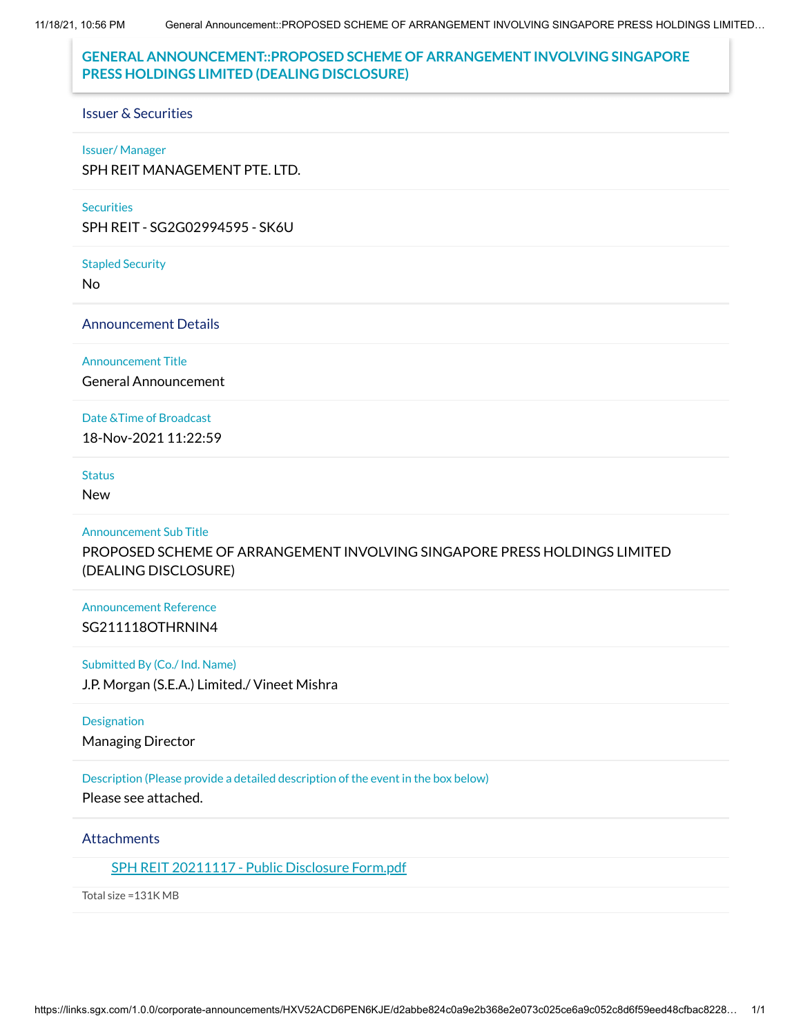11/18/21, 10:56 PM General Announcement::PROPOSED SCHEME OF ARRANGEMENT INVOLVING SINGAPORE PRESS HOLDINGS LIMITED…

# **GENERAL ANNOUNCEMENT::PROPOSED SCHEME OF ARRANGEMENT INVOLVING SINGAPORE PRESS HOLDINGS LIMITED (DEALING DISCLOSURE)**

#### Issuer & Securities

#### Issuer/ Manager

SPH REIT MANAGEMENT PTE. LTD.

#### **Securities**

SPH REIT - SG2G02994595 - SK6U

#### Stapled Security

No

### Announcement Details

#### Announcement Title

General Announcement

#### Date &Time of Broadcast

18-Nov-2021 11:22:59

### **Status**

New

### Announcement Sub Title

PROPOSED SCHEME OF ARRANGEMENT INVOLVING SINGAPORE PRESS HOLDINGS LIMITED (DEALING DISCLOSURE)

### Announcement Reference SG211118OTHRNIN4

### Submitted By (Co./ Ind. Name)

J.P. Morgan (S.E.A.) Limited./ Vineet Mishra

#### **Designation**

Managing Director

### Description (Please provide a detailed description of the event in the box below)

Please see attached.

### **Attachments**

SPH REIT [20211117](https://links.sgx.com/1.0.0/corporate-announcements/HXV52ACD6PEN6KJE/691272_SPH%20REIT%2020211117%20-%20Public%20Disclosure%20Form.pdf) - Public Disclosure Form.pdf

Total size =131K MB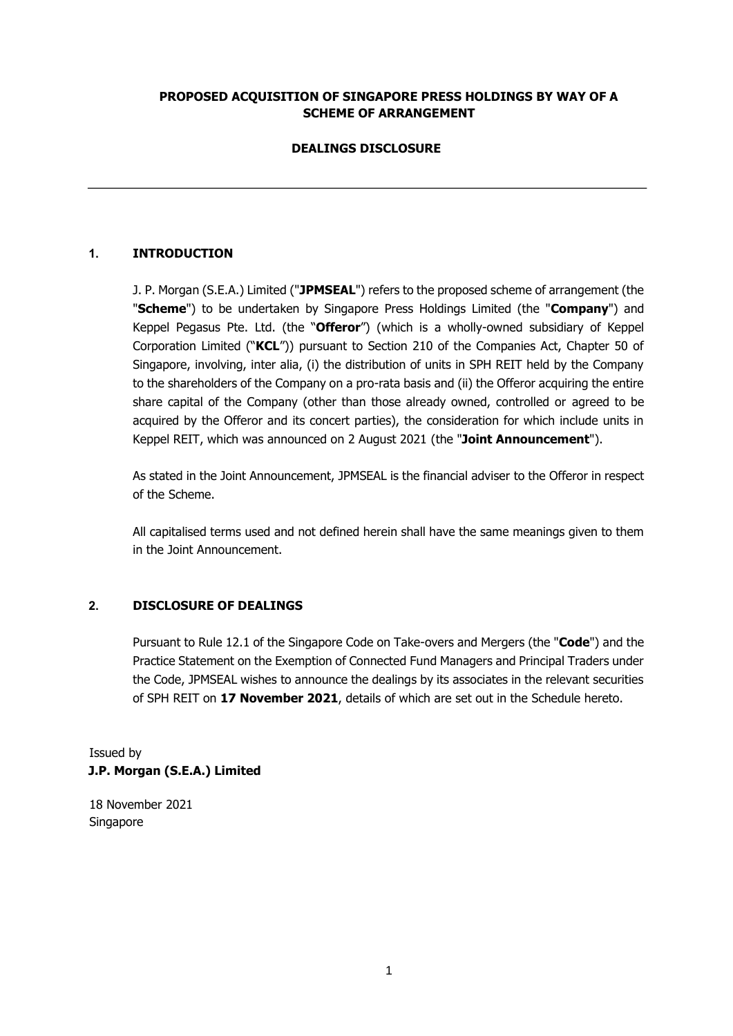## **PROPOSED ACQUISITION OF SINGAPORE PRESS HOLDINGS BY WAY OF A SCHEME OF ARRANGEMENT**

## **DEALINGS DISCLOSURE**

## **1. INTRODUCTION**

J. P. Morgan (S.E.A.) Limited ("**JPMSEAL**") refers to the proposed scheme of arrangement (the "**Scheme**") to be undertaken by Singapore Press Holdings Limited (the "**Company**") and Keppel Pegasus Pte. Ltd. (the "**Offeror**") (which is a wholly-owned subsidiary of Keppel Corporation Limited ("**KCL**")) pursuant to Section 210 of the Companies Act, Chapter 50 of Singapore, involving, inter alia, (i) the distribution of units in SPH REIT held by the Company to the shareholders of the Company on a pro-rata basis and (ii) the Offeror acquiring the entire share capital of the Company (other than those already owned, controlled or agreed to be acquired by the Offeror and its concert parties), the consideration for which include units in Keppel REIT, which was announced on 2 August 2021 (the "**Joint Announcement**").

As stated in the Joint Announcement, JPMSEAL is the financial adviser to the Offeror in respect of the Scheme.

All capitalised terms used and not defined herein shall have the same meanings given to them in the Joint Announcement.

## **2. DISCLOSURE OF DEALINGS**

Pursuant to Rule 12.1 of the Singapore Code on Take-overs and Mergers (the "**Code**") and the Practice Statement on the Exemption of Connected Fund Managers and Principal Traders under the Code, JPMSEAL wishes to announce the dealings by its associates in the relevant securities of SPH REIT on **17 November 2021**, details of which are set out in the Schedule hereto.

Issued by **J.P. Morgan (S.E.A.) Limited** 

18 November 2021 Singapore